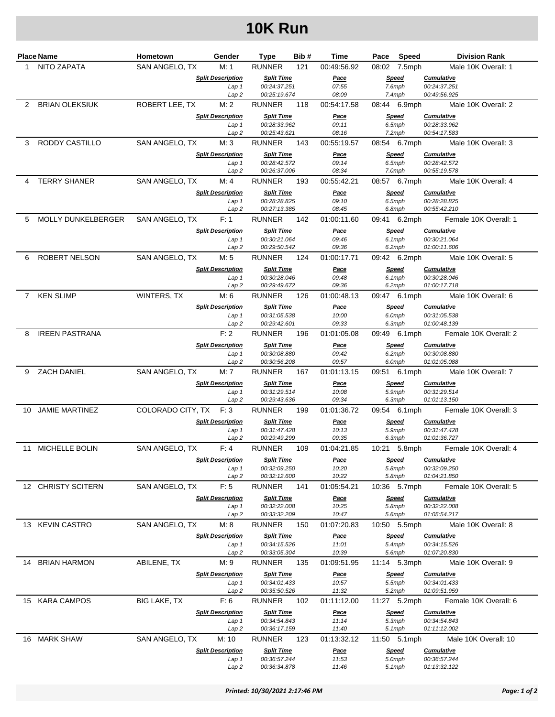## **10K Run**

| Place Name |                       | Hometown               | Gender                                       | <b>Type</b>                       | Bib# | Time                 | Pace   | Speed                  | <b>Division Rank</b>                |
|------------|-----------------------|------------------------|----------------------------------------------|-----------------------------------|------|----------------------|--------|------------------------|-------------------------------------|
| 1.         | NITO ZAPATA           | SAN ANGELO, TX         | M: 1                                         | <b>RUNNER</b>                     | 121  | 00:49:56.92          |        | 08:02 7.5mph           | Male 10K Overall: 1                 |
|            |                       |                        | <b>Split Description</b>                     | <b>Split Time</b>                 |      | <u>Pace</u>          |        | <b>Speed</b>           | <b>Cumulative</b>                   |
|            |                       |                        | Lap 1                                        | 00:24:37.251                      |      | 07:55                |        | 7.6mph                 | 00:24:37.251                        |
| 2          |                       |                        | Lap2                                         | 00:25:19.674                      |      | 08:09<br>00:54:17.58 |        | $7.4$ mph              | 00:49:56.925                        |
|            | <b>BRIAN OLEKSIUK</b> | ROBERT LEE, TX         | M: 2                                         | <b>RUNNER</b>                     | 118  |                      |        | 08:44 6.9mph           | Male 10K Overall: 2                 |
|            |                       |                        | <b>Split Description</b><br>Lap 1            | <b>Split Time</b><br>00:28:33.962 |      | <u>Pace</u><br>09:11 | 6.5mph | <b>Speed</b>           | <b>Cumulative</b><br>00:28:33.962   |
|            |                       |                        | Lap2                                         | 00:25:43.621                      |      | 08:16                |        | 7.2mph                 | 00:54:17.583                        |
| 3          | RODDY CASTILLO        | SAN ANGELO, TX         | M: 3                                         | <b>RUNNER</b>                     | 143  | 00:55:19.57          |        | 08:54 6.7mph           | Male 10K Overall: 3                 |
|            |                       |                        | <b>Split Description</b>                     | <b>Split Time</b>                 |      | <u>Pace</u>          |        | <b>Speed</b>           | <b>Cumulative</b>                   |
|            |                       |                        | Lap 1                                        | 00:28:42.572<br>00:26:37.006      |      | 09:14                | 6.5mph |                        | 00:28:42.572                        |
| 4          | <b>TERRY SHANER</b>   | SAN ANGELO, TX         | Lap <sub>2</sub><br>M: 4                     | <b>RUNNER</b>                     | 193  | 08:34<br>00:55:42.21 |        | 7.0mph<br>08:57 6.7mph | 00:55:19.578<br>Male 10K Overall: 4 |
|            |                       |                        | <b>Split Description</b>                     | <b>Split Time</b>                 |      | <u>Pace</u>          |        | <b>Speed</b>           | <b>Cumulative</b>                   |
|            |                       |                        | Lap 1                                        | 00:28:28.825                      |      | 09:10                | 6.5mph |                        | 00:28:28.825                        |
|            |                       |                        | Lap 2                                        | 00:27:13.385                      |      | 08:45                |        | 6.8mph                 | 00:55:42.210                        |
| 5          | MOLLY DUNKELBERGER    | SAN ANGELO, TX         | F: 1                                         | <b>RUNNER</b>                     | 142  | 01:00:11.60          |        | 09:41 6.2mph           | Female 10K Overall: 1               |
|            |                       |                        | <b>Split Description</b>                     | <b>Split Time</b>                 |      | Pace                 |        | <b>Speed</b>           | <b>Cumulative</b>                   |
|            |                       |                        | Lap 1<br>Lap2                                | 00:30:21.064<br>00:29:50.542      |      | 09:46<br>09:36       |        | 6.1mph<br>6.2mph       | 00:30:21.064<br>01:00:11.606        |
| 6          | <b>ROBERT NELSON</b>  | SAN ANGELO, TX         | M: 5                                         | <b>RUNNER</b>                     | 124  | 01:00:17.71          |        | 09:42 6.2mph           | Male 10K Overall: 5                 |
|            |                       |                        | <b>Split Description</b>                     | <b>Split Time</b>                 |      | <u>Pace</u>          |        | Speed                  | <b>Cumulative</b>                   |
|            |                       |                        | Lap 1                                        | 00:30:28.046                      |      | 09:48                |        | 6.1mph                 | 00:30:28.046                        |
|            |                       |                        | Lap <sub>2</sub>                             | 00:29:49.672                      |      | 09:36                |        | 6.2mph                 | 01:00:17.718                        |
|            | 7 KEN SLIMP           | WINTERS, TX            | M: 6                                         | <b>RUNNER</b>                     | 126  | 01:00:48.13          |        | 09:47 6.1mph           | Male 10K Overall: 6                 |
|            |                       |                        | <b>Split Description</b><br>Lap <sub>1</sub> | <b>Split Time</b><br>00:31:05.538 |      | <u>Pace</u><br>10:00 |        | <b>Speed</b><br>6.0mph | <b>Cumulative</b><br>00:31:05.538   |
|            |                       |                        | Lap <sub>2</sub>                             | 00:29:42.601                      |      | 09:33                |        | 6.3mph                 | 01:00:48.139                        |
| 8          | <b>IREEN PASTRANA</b> |                        | F: 2                                         | <b>RUNNER</b>                     | 196  | 01:01:05.08          |        | 09:49 6.1mph           | Female 10K Overall: 2               |
|            |                       |                        | <b>Split Description</b>                     | <b>Split Time</b>                 |      | <u>Pace</u>          |        | Speed                  | <b>Cumulative</b>                   |
|            |                       |                        | Lap <sub>1</sub>                             | 00:30:08.880                      |      | 09:42                |        | 6.2mph                 | 00:30:08.880                        |
|            | 9 ZACH DANIEL         |                        | Lap 2                                        | 00:30:56.208                      |      | 09:57                |        | 6.0mph                 | 01:01:05.088                        |
|            |                       | SAN ANGELO, TX         | M: 7                                         | <b>RUNNER</b>                     | 167  | 01:01:13.15          |        | 09:51 6.1mph           | Male 10K Overall: 7                 |
|            |                       |                        | <b>Split Description</b><br>Lap 1            | <b>Split Time</b><br>00:31:29.514 |      | <u>Pace</u><br>10:08 |        | <b>Speed</b><br>5.9mph | <b>Cumulative</b><br>00:31:29.514   |
|            |                       |                        | Lap 2                                        | 00:29:43.636                      |      | 09:34                |        | 6.3mph                 | 01:01:13.150                        |
|            | 10 JAMIE MARTINEZ     | COLORADO CITY, TX F: 3 |                                              | <b>RUNNER</b>                     | 199  | 01:01:36.72          |        | 09:54 6.1mph           | Female 10K Overall: 3               |
|            |                       |                        | <b>Split Description</b>                     | <b>Split Time</b>                 |      | <u>Pace</u>          |        | Speed                  | <b>Cumulative</b>                   |
|            |                       |                        | Lap 1<br>Lap 2                               | 00:31:47.428<br>00:29:49.299      |      | 10:13<br>09:35       |        | 5.9mph<br>6.3mph       | 00:31:47.428<br>01:01:36.727        |
|            | 11 MICHELLE BOLIN     | SAN ANGELO, TX         | F: 4                                         | <b>RUNNER</b>                     | 109  | 01:04:21.85          |        | 10:21 5.8mph           | Female 10K Overall: 4               |
|            |                       |                        | <b>Split Description</b>                     | <b>Split Time</b>                 |      | <u>Pace</u>          |        | <b>Speed</b>           | <b>Cumulative</b>                   |
|            |                       |                        | Lap 1                                        | 00:32:09.250                      |      | 10:20                |        | 5.8mph                 | 00:32:09.250                        |
|            |                       |                        | Lap 2                                        | 00:32:12.600                      |      | 10:22                |        | 5.8mph                 | 01:04:21.850                        |
|            | 12 CHRISTY SCITERN    | SAN ANGELO, TX         | F: 5                                         | <b>RUNNER</b>                     | 141  | 01:05:54.21          |        | 10:36 5.7mph           | Female 10K Overall: 5               |
|            |                       |                        | <b>Split Description</b><br>Lap 1            | <b>Split Time</b><br>00:32:22.008 |      | <u>Pace</u><br>10:25 |        | <b>Speed</b><br>5.8mph | <b>Cumulative</b><br>00:32:22.008   |
|            |                       |                        | Lap 2                                        | 00:33:32.209                      |      | 10:47                |        | 5.6mph                 | 01:05:54.217                        |
|            | 13 KEVIN CASTRO       | SAN ANGELO, TX         | M: 8                                         | <b>RUNNER</b>                     | 150  | 01:07:20.83          |        | 10:50 5.5mph           | Male 10K Overall: 8                 |
|            |                       |                        | <b>Split Description</b>                     | <b>Split Time</b>                 |      | <u>Pace</u>          |        | Speed                  | <b>Cumulative</b>                   |
|            |                       |                        | Lap 1                                        | 00:34:15.526                      |      | 11:01                |        | 5.4mph                 | 00:34:15.526                        |
| 14         | <b>BRIAN HARMON</b>   | ABILENE, TX            | Lap 2<br>M: 9                                | 00:33:05.304<br><b>RUNNER</b>     | 135  | 10:39<br>01:09:51.95 |        | 5.6mph<br>11:14 5.3mph | 01:07:20.830<br>Male 10K Overall: 9 |
|            |                       |                        | <b>Split Description</b>                     | <b>Split Time</b>                 |      |                      |        |                        | <b>Cumulative</b>                   |
|            |                       |                        | Lap 1                                        | 00:34:01.433                      |      | <u>Pace</u><br>10:57 | 5.5mph | <b>Speed</b>           | 00:34:01.433                        |
|            |                       |                        | Lap 2                                        | 00:35:50.526                      |      | 11:32                |        | 5.2mph                 | 01:09:51.959                        |
|            | 15 KARA CAMPOS        | <b>BIG LAKE, TX</b>    | F: 6                                         | <b>RUNNER</b>                     | 102  | 01:11:12.00          |        | 11:27 5.2mph           | Female 10K Overall: 6               |
|            |                       |                        | <b>Split Description</b>                     | <b>Split Time</b>                 |      | <u>Pace</u>          |        | <b>Speed</b>           | <b>Cumulative</b>                   |
|            |                       |                        | Lap 1<br>Lap 2                               | 00:34:54.843<br>00:36:17.159      |      | 11:14<br>11:40       |        | 5.3mph<br>5.1mph       | 00:34:54.843<br>01:11:12.002        |
|            | 16 MARK SHAW          | SAN ANGELO, TX         | M: 10                                        | <b>RUNNER</b>                     | 123  | 01:13:32.12          |        | 11:50 5.1mph           | Male 10K Overall: 10                |
|            |                       |                        | <b>Split Description</b>                     | <b>Split Time</b>                 |      | <u>Pace</u>          |        | <b>Speed</b>           | <b>Cumulative</b>                   |
|            |                       |                        | Lap 1                                        | 00:36:57.244                      |      | 11:53                |        | 5.0mph                 | 00:36:57.244                        |
|            |                       |                        | Lap <sub>2</sub>                             | 00:36:34.878                      |      | 11:46                |        | 5.1mph                 | 01:13:32.122                        |